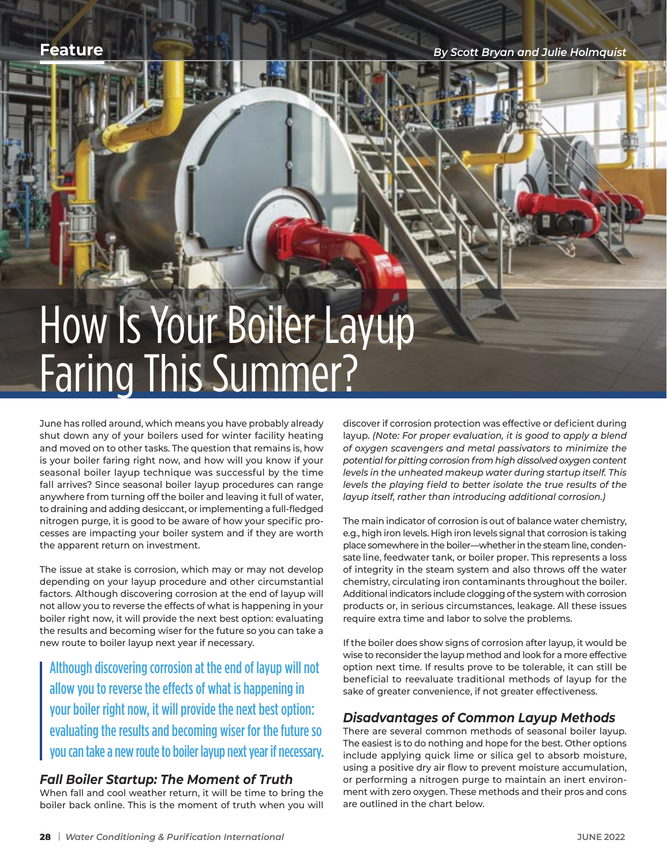**Feature** *By Scott Bryan and Julie Holmquist*

# How Is Your Boiler Layup Faring This Summer?

June has rolled around, which means you have probably already shut down any of your boilers used for winter facility heating and moved on to other tasks. The question that remains is, how is your boiler faring right now, and how will you know if your seasonal boiler layup technique was successful by the time fall arrives? Since seasonal boiler layup procedures can range anywhere from turning off the boiler and leaving it full of water, to draining and adding desiccant, or implementing a full-fledged nitrogen purge, it is good to be aware of how your specific processes are impacting your boiler system and if they are worth the apparent return on investment.

The issue at stake is corrosion, which may or may not develop depending on your layup procedure and other circumstantial factors. Although discovering corrosion at the end of layup will not allow you to reverse the effects of what is happening in your boiler right now, it will provide the next best option: evaluating the results and becoming wiser for the future so you can take a new route to boiler layup next year if necessary.

Although discovering corrosion at the end of layup will not allow you to reverse the effects of what is happening in your boiler right now, it will provide the next best option: evaluating the results and becoming wiser for the future so you can take a new route to boiler layup next year if necessary.

### *Fall Boiler Startup: The Moment of Truth*

When fall and cool weather return, it will be time to bring the boiler back online. This is the moment of truth when you will discover if corrosion protection was effective or deficient during layup. *(Note: For proper evaluation, it is good to apply a blend of oxygen scavengers and metal passivators to minimize the potential for pitting corrosion from high dissolved oxygen content levels in the unheated makeup water during startup itself. This levels the playing field to better isolate the true results of the layup itself, rather than introducing additional corrosion.)*

The main indicator of corrosion is out of balance water chemistry, e.g., high iron levels. High iron levels signal that corrosion is taking place somewhere in the boiler—whether in the steam line, condensate line, feedwater tank, or boiler proper. This represents a loss of integrity in the steam system and also throws off the water chemistry, circulating iron contaminants throughout the boiler. Additional indicators include clogging of the system with corrosion products or, in serious circumstances, leakage. All these issues require extra time and labor to solve the problems.

If the boiler does show signs of corrosion after layup, it would be wise to reconsider the layup method and look for a more effective option next time. If results prove to be tolerable, it can still be beneficial to reevaluate traditional methods of layup for the sake of greater convenience, if not greater effectiveness.

### *Disadvantages of Common Layup Methods*

There are several common methods of seasonal boiler layup. The easiest is to do nothing and hope for the best. Other options include applying quick lime or silica gel to absorb moisture, using a positive dry air flow to prevent moisture accumulation, or performing a nitrogen purge to maintain an inert environment with zero oxygen. These methods and their pros and cons are outlined in the chart below.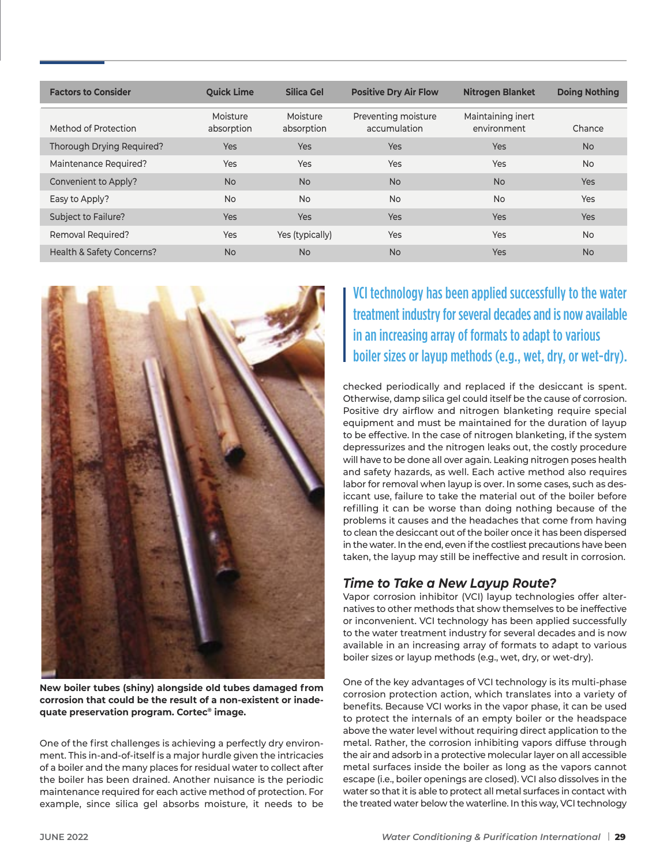| <b>Factors to Consider</b> | <b>Ouick Lime</b>      | Silica Gel             | <b>Positive Dry Air Flow</b>        | <b>Nitrogen Blanket</b>          | <b>Doing Nothing</b> |
|----------------------------|------------------------|------------------------|-------------------------------------|----------------------------------|----------------------|
| Method of Protection       | Moisture<br>absorption | Moisture<br>absorption | Preventing moisture<br>accumulation | Maintaining inert<br>environment | Chance               |
| Thorough Drying Required?  | <b>Yes</b>             | <b>Yes</b>             | <b>Yes</b>                          | <b>Yes</b>                       | <b>No</b>            |
| Maintenance Required?      | Yes                    | <b>Yes</b>             | <b>Yes</b>                          | <b>Yes</b>                       | <b>No</b>            |
| Convenient to Apply?       | <b>No</b>              | <b>No</b>              | <b>No</b>                           | <b>No</b>                        | Yes                  |
| Easy to Apply?             | <b>No</b>              | <b>No</b>              | <b>No</b>                           | <b>No</b>                        | Yes                  |
| Subject to Failure?        | <b>Yes</b>             | <b>Yes</b>             | <b>Yes</b>                          | <b>Yes</b>                       | <b>Yes</b>           |
| <b>Removal Required?</b>   | Yes                    | Yes (typically)        | Yes                                 | Yes                              | <b>No</b>            |
| Health & Safety Concerns?  | <b>No</b>              | <b>No</b>              | <b>No</b>                           | <b>Yes</b>                       | <b>No</b>            |



**New boiler tubes (shiny) alongside old tubes damaged from corrosion that could be the result of a non-existent or inadequate preservation program. Cortec® image.**

One of the first challenges is achieving a perfectly dry environment. This in-and-of-itself is a major hurdle given the intricacies of a boiler and the many places for residual water to collect after the boiler has been drained. Another nuisance is the periodic maintenance required for each active method of protection. For example, since silica gel absorbs moisture, it needs to be VCI technology has been applied successfully to the water treatment industry for several decades and is now available in an increasing array of formats to adapt to various boiler sizes or layup methods (e.g., wet, dry, or wet-dry).

checked periodically and replaced if the desiccant is spent. Otherwise, damp silica gel could itself be the cause of corrosion. Positive dry airflow and nitrogen blanketing require special equipment and must be maintained for the duration of layup to be effective. In the case of nitrogen blanketing, if the system depressurizes and the nitrogen leaks out, the costly procedure will have to be done all over again. Leaking nitrogen poses health and safety hazards, as well. Each active method also requires labor for removal when layup is over. In some cases, such as desiccant use, failure to take the material out of the boiler before refilling it can be worse than doing nothing because of the problems it causes and the headaches that come from having to clean the desiccant out of the boiler once it has been dispersed in the water. In the end, even if the costliest precautions have been taken, the layup may still be ineffective and result in corrosion.

## *Time to Take a New Layup Route?*

Vapor corrosion inhibitor (VCI) layup technologies offer alternatives to other methods that show themselves to be ineffective or inconvenient. VCI technology has been applied successfully to the water treatment industry for several decades and is now available in an increasing array of formats to adapt to various boiler sizes or layup methods (e.g., wet, dry, or wet-dry).

One of the key advantages of VCI technology is its multi-phase corrosion protection action, which translates into a variety of benefits. Because VCI works in the vapor phase, it can be used to protect the internals of an empty boiler or the headspace above the water level without requiring direct application to the metal. Rather, the corrosion inhibiting vapors diffuse through the air and adsorb in a protective molecular layer on all accessible metal surfaces inside the boiler as long as the vapors cannot escape (i.e., boiler openings are closed). VCI also dissolves in the water so that it is able to protect all metal surfaces in contact with the treated water below the waterline. In this way, VCI technology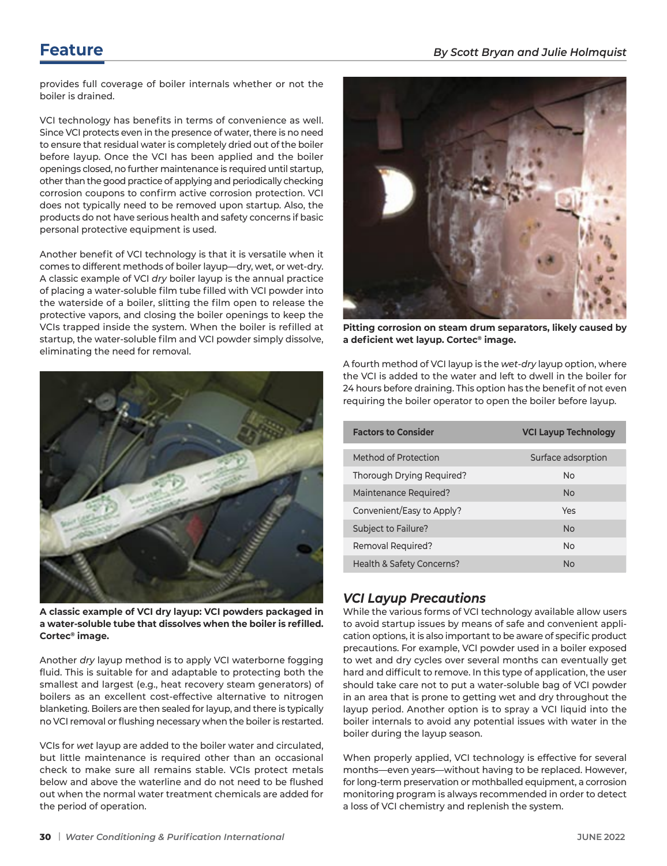provides full coverage of boiler internals whether or not the boiler is drained.

VCI technology has benefits in terms of convenience as well. Since VCI protects even in the presence of water, there is no need to ensure that residual water is completely dried out of the boiler before layup. Once the VCI has been applied and the boiler openings closed, no further maintenance is required until startup, other than the good practice of applying and periodically checking corrosion coupons to confirm active corrosion protection. VCI does not typically need to be removed upon startup. Also, the products do not have serious health and safety concerns if basic personal protective equipment is used.

Another benefit of VCI technology is that it is versatile when it comes to different methods of boiler layup—dry, wet, or wet-dry. A classic example of VCI *dry* boiler layup is the annual practice of placing a water-soluble film tube filled with VCI powder into the waterside of a boiler, slitting the film open to release the protective vapors, and closing the boiler openings to keep the VCIs trapped inside the system. When the boiler is refilled at startup, the water-soluble film and VCI powder simply dissolve, eliminating the need for removal.



**A classic example of VCI dry layup: VCI powders packaged in a water-soluble tube that dissolves when the boiler is refilled. Cortec® image.**

Another *dry* layup method is to apply VCI waterborne fogging fluid. This is suitable for and adaptable to protecting both the smallest and largest (e.g., heat recovery steam generators) of boilers as an excellent cost-effective alternative to nitrogen blanketing. Boilers are then sealed for layup, and there is typically no VCI removal or flushing necessary when the boiler is restarted.

VCIs for *wet* layup are added to the boiler water and circulated, but little maintenance is required other than an occasional check to make sure all remains stable. VCIs protect metals below and above the waterline and do not need to be flushed out when the normal water treatment chemicals are added for the period of operation.



**Pitting corrosion on steam drum separators, likely caused by a deficient wet layup. Cortec® image.**

A fourth method of VCI layup is the *wet-dry* layup option, where the VCI is added to the water and left to dwell in the boiler for 24 hours before draining. This option has the benefit of not even requiring the boiler operator to open the boiler before layup.

| <b>Factors to Consider</b> | <b>VCI Layup Technology</b> |  |  |
|----------------------------|-----------------------------|--|--|
| Method of Protection       | Surface adsorption          |  |  |
| Thorough Drying Required?  | No                          |  |  |
| Maintenance Required?      | <b>No</b>                   |  |  |
| Convenient/Easy to Apply?  | Yes                         |  |  |
| <b>Subject to Failure?</b> | <b>No</b>                   |  |  |
| <b>Removal Required?</b>   | No                          |  |  |
| Health & Safety Concerns?  | No                          |  |  |

# *VCI Layup Precautions*

While the various forms of VCI technology available allow users to avoid startup issues by means of safe and convenient application options, it is also important to be aware of specific product precautions. For example, VCI powder used in a boiler exposed to wet and dry cycles over several months can eventually get hard and difficult to remove. In this type of application, the user should take care not to put a water-soluble bag of VCI powder in an area that is prone to getting wet and dry throughout the layup period. Another option is to spray a VCI liquid into the boiler internals to avoid any potential issues with water in the boiler during the layup season.

When properly applied, VCI technology is effective for several months—even years—without having to be replaced. However, for long-term preservation or mothballed equipment, a corrosion monitoring program is always recommended in order to detect a loss of VCI chemistry and replenish the system.